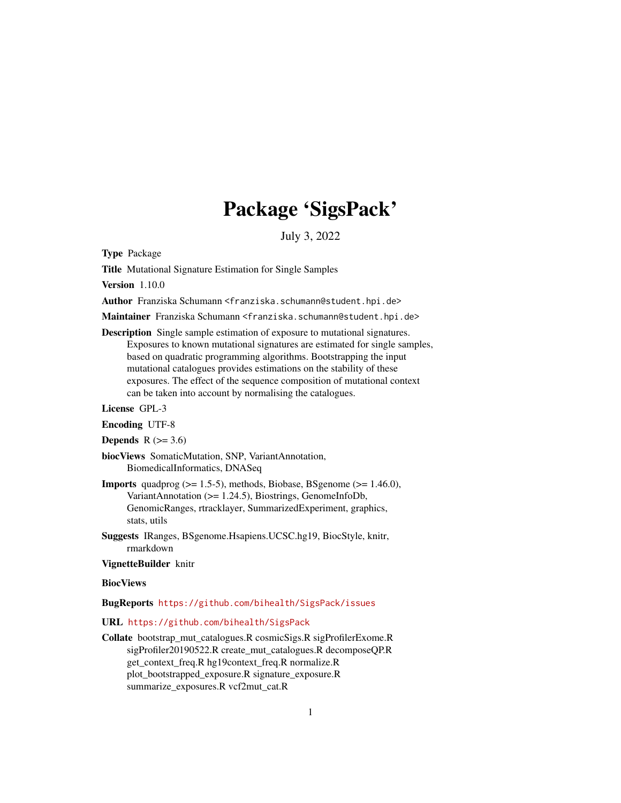# Package 'SigsPack'

July 3, 2022

Type Package

Title Mutational Signature Estimation for Single Samples

Version 1.10.0

Author Franziska Schumann <franziska.schumann@student.hpi.de>

Maintainer Franziska Schumann <franziska.schumann@student.hpi.de>

Description Single sample estimation of exposure to mutational signatures. Exposures to known mutational signatures are estimated for single samples, based on quadratic programming algorithms. Bootstrapping the input mutational catalogues provides estimations on the stability of these exposures. The effect of the sequence composition of mutational context can be taken into account by normalising the catalogues.

License GPL-3

Encoding UTF-8

Depends  $R$  ( $>= 3.6$ )

biocViews SomaticMutation, SNP, VariantAnnotation, BiomedicalInformatics, DNASeq

**Imports** quadprog  $(>= 1.5-5)$ , methods, Biobase, BSgenome  $(>= 1.46.0)$ , VariantAnnotation (>= 1.24.5), Biostrings, GenomeInfoDb, GenomicRanges, rtracklayer, SummarizedExperiment, graphics, stats, utils

Suggests IRanges, BSgenome.Hsapiens.UCSC.hg19, BiocStyle, knitr, rmarkdown

VignetteBuilder knitr

#### **BiocViews**

BugReports <https://github.com/bihealth/SigsPack/issues>

#### URL <https://github.com/bihealth/SigsPack>

Collate bootstrap\_mut\_catalogues.R cosmicSigs.R sigProfilerExome.R sigProfiler20190522.R create\_mut\_catalogues.R decomposeQP.R get\_context\_freq.R hg19context\_freq.R normalize.R plot\_bootstrapped\_exposure.R signature\_exposure.R summarize\_exposures.R vcf2mut\_cat.R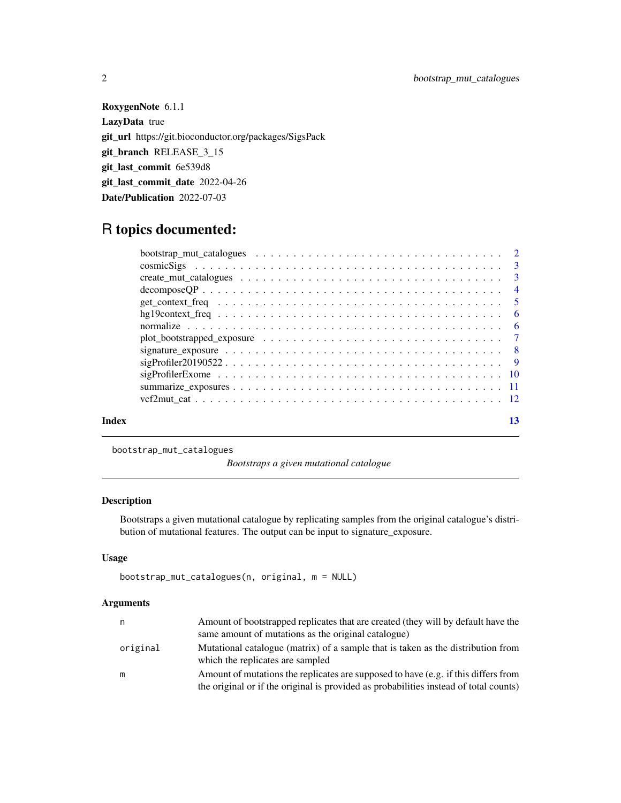RoxygenNote 6.1.1 LazyData true git\_url https://git.bioconductor.org/packages/SigsPack git\_branch RELEASE\_3\_15 git\_last\_commit 6e539d8 git\_last\_commit\_date 2022-04-26 Date/Publication 2022-07-03

# R topics documented:

| Index |                                                                                                                     | 13 |
|-------|---------------------------------------------------------------------------------------------------------------------|----|
|       |                                                                                                                     |    |
|       |                                                                                                                     |    |
|       |                                                                                                                     |    |
|       | $signProfit20190522 9$                                                                                              |    |
|       | signature_exposure $\ldots \ldots \ldots \ldots \ldots \ldots \ldots \ldots \ldots \ldots \ldots \ldots$            |    |
|       |                                                                                                                     |    |
|       |                                                                                                                     |    |
|       |                                                                                                                     |    |
|       |                                                                                                                     |    |
|       | $decomposeQP \dots \dots \dots \dots \dots \dots \dots \dots \dots \dots \dots \dots \dots \dots \dots \dots \dots$ |    |
|       |                                                                                                                     |    |
|       |                                                                                                                     |    |
|       |                                                                                                                     |    |

bootstrap\_mut\_catalogues

*Bootstraps a given mutational catalogue*

# Description

Bootstraps a given mutational catalogue by replicating samples from the original catalogue's distribution of mutational features. The output can be input to signature\_exposure.

# Usage

```
bootstrap_mut_catalogues(n, original, m = NULL)
```
#### Arguments

| n        | Amount of bootstrapped replicates that are created (they will by default have the                                    |
|----------|----------------------------------------------------------------------------------------------------------------------|
|          | same amount of mutations as the original catalogue)                                                                  |
| original | Mutational catalogue (matrix) of a sample that is taken as the distribution from<br>which the replicates are sampled |
| m        | Amount of mutations the replicates are supposed to have $(e.g.$ if this differs from                                 |
|          | the original or if the original is provided as probabilities instead of total counts)                                |

<span id="page-1-0"></span>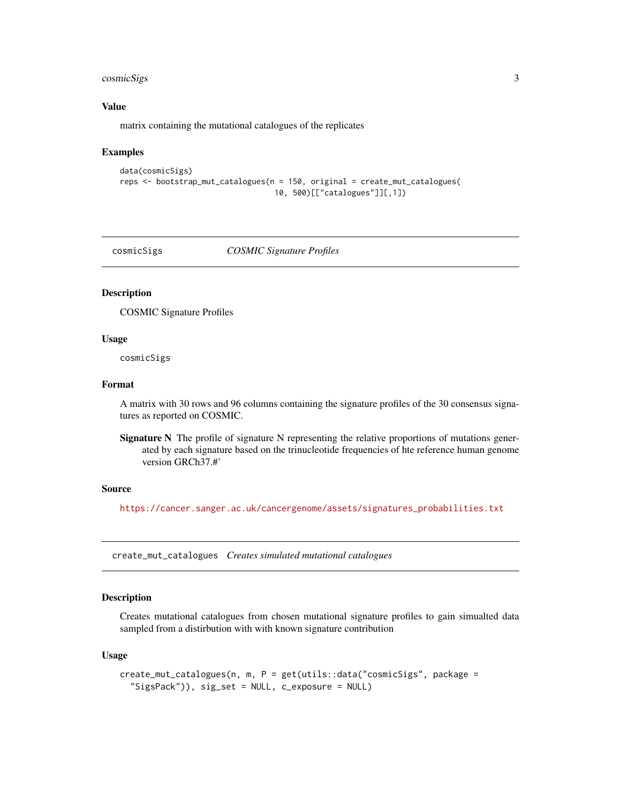# <span id="page-2-0"></span>cosmicSigs 3

#### Value

matrix containing the mutational catalogues of the replicates

#### Examples

```
data(cosmicSigs)
reps <- bootstrap_mut_catalogues(n = 150, original = create_mut_catalogues(
                                  10, 500)[["catalogues"]][,1])
```
cosmicSigs *COSMIC Signature Profiles*

#### Description

COSMIC Signature Profiles

#### Usage

cosmicSigs

# Format

A matrix with 30 rows and 96 columns containing the signature profiles of the 30 consensus signatures as reported on COSMIC.

Signature N The profile of signature N representing the relative proportions of mutations generated by each signature based on the trinucleotide frequencies of hte reference human genome version GRCh37.#'

#### Source

[https://cancer.sanger.ac.uk/cancergenome/assets/signatures\\_probabilities.txt](https://cancer.sanger.ac.uk/cancergenome/assets/signatures_probabilities.txt)

create\_mut\_catalogues *Creates simulated mutational catalogues*

# Description

Creates mutational catalogues from chosen mutational signature profiles to gain simualted data sampled from a distirbution with with known signature contribution

#### Usage

```
create_mut_catalogues(n, m, P = get(utils::data("cosmicSigs", package =
  "SigsPack")), sig_set = NULL, c_exposure = NULL)
```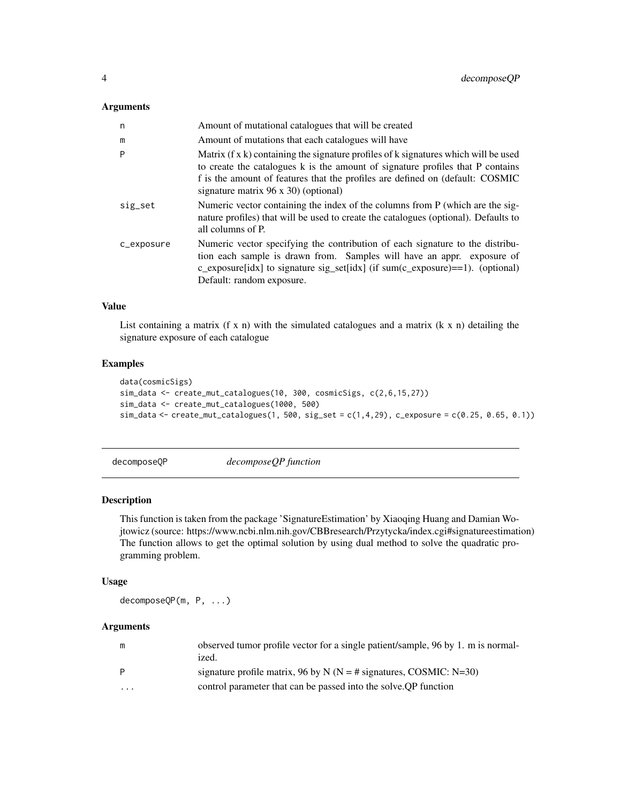#### <span id="page-3-0"></span>Arguments

| n          | Amount of mutational catalogues that will be created                                                                                                                                                                                                                                                          |
|------------|---------------------------------------------------------------------------------------------------------------------------------------------------------------------------------------------------------------------------------------------------------------------------------------------------------------|
| m          | Amount of mutations that each catalogues will have                                                                                                                                                                                                                                                            |
| P          | Matrix $(f \times k)$ containing the signature profiles of $k$ signatures which will be used<br>to create the catalogues k is the amount of signature profiles that P contains<br>f is the amount of features that the profiles are defined on (default: COSMIC<br>signature matrix $96 \times 30$ (optional) |
| sig_set    | Numeric vector containing the index of the columns from P (which are the sig-<br>nature profiles) that will be used to create the catalogues (optional). Defaults to<br>all columns of P.                                                                                                                     |
| c_exposure | Numeric vector specifying the contribution of each signature to the distribu-<br>tion each sample is drawn from. Samples will have an appr. exposure of<br>c_exposure[idx] to signature sig_set[idx] (if $sum(c_{exposure}) == 1)$ . (optional)<br>Default: random exposure.                                  |

#### Value

List containing a matrix  $(f \times n)$  with the simulated catalogues and a matrix  $(k \times n)$  detailing the signature exposure of each catalogue

#### Examples

```
data(cosmicSigs)
sim_data <- create_mut_catalogues(10, 300, cosmicSigs, c(2,6,15,27))
sim_data <- create_mut_catalogues(1000, 500)
sim_data <- create_mut_catalogues(1, 500, sig_set = c(1,4,29), c_exposure = c(0.25, 0.65, 0.1))
```

| decomposeQP | decomposeQP function |
|-------------|----------------------|
|-------------|----------------------|

#### Description

This function is taken from the package 'SignatureEstimation' by Xiaoqing Huang and Damian Wojtowicz (source: https://www.ncbi.nlm.nih.gov/CBBresearch/Przytycka/index.cgi#signatureestimation) The function allows to get the optimal solution by using dual method to solve the quadratic programming problem.

#### Usage

decomposeQP(m, P, ...)

#### Arguments

| m        | observed tumor profile vector for a single patient/sample, 96 by 1. m is normal- |
|----------|----------------------------------------------------------------------------------|
|          | ized.                                                                            |
| P        | signature profile matrix, 96 by N ( $N = #$ signatures, COSMIC: N=30)            |
| $\cdots$ | control parameter that can be passed into the solve. OP function                 |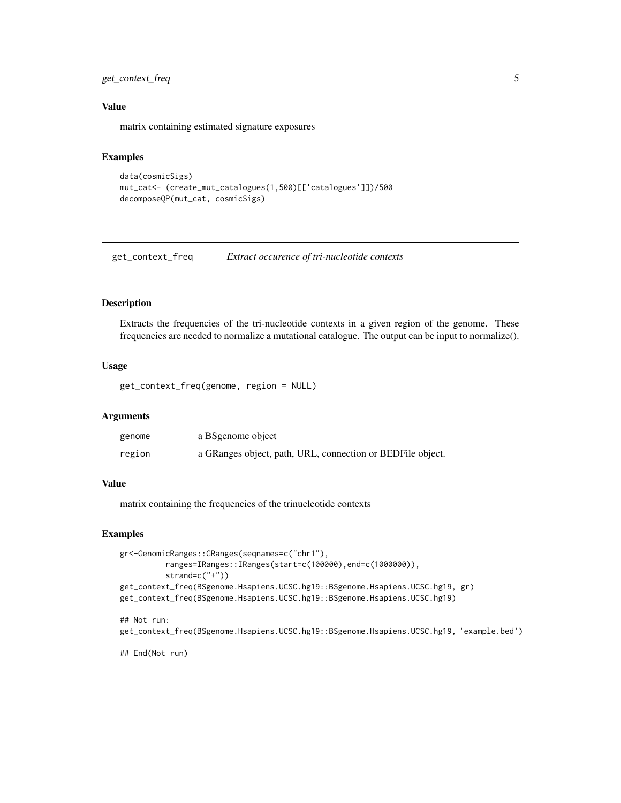# <span id="page-4-0"></span>get\_context\_freq 5

#### Value

matrix containing estimated signature exposures

### Examples

```
data(cosmicSigs)
mut_cat<- (create_mut_catalogues(1,500)[['catalogues']])/500
decomposeQP(mut_cat, cosmicSigs)
```
get\_context\_freq *Extract occurence of tri-nucleotide contexts*

#### Description

Extracts the frequencies of the tri-nucleotide contexts in a given region of the genome. These frequencies are needed to normalize a mutational catalogue. The output can be input to normalize().

#### Usage

get\_context\_freq(genome, region = NULL)

#### **Arguments**

| genome | a BS genome object                                         |
|--------|------------------------------------------------------------|
| region | a GRanges object, path, URL, connection or BEDFile object. |

#### Value

matrix containing the frequencies of the trinucleotide contexts

#### Examples

```
gr<-GenomicRanges::GRanges(seqnames=c("chr1"),
         ranges=IRanges::IRanges(start=c(100000),end=c(1000000)),
         strand=c("+"))
get_context_freq(BSgenome.Hsapiens.UCSC.hg19::BSgenome.Hsapiens.UCSC.hg19, gr)
get_context_freq(BSgenome.Hsapiens.UCSC.hg19::BSgenome.Hsapiens.UCSC.hg19)
## Not run:
get_context_freq(BSgenome.Hsapiens.UCSC.hg19::BSgenome.Hsapiens.UCSC.hg19, 'example.bed')
```
## End(Not run)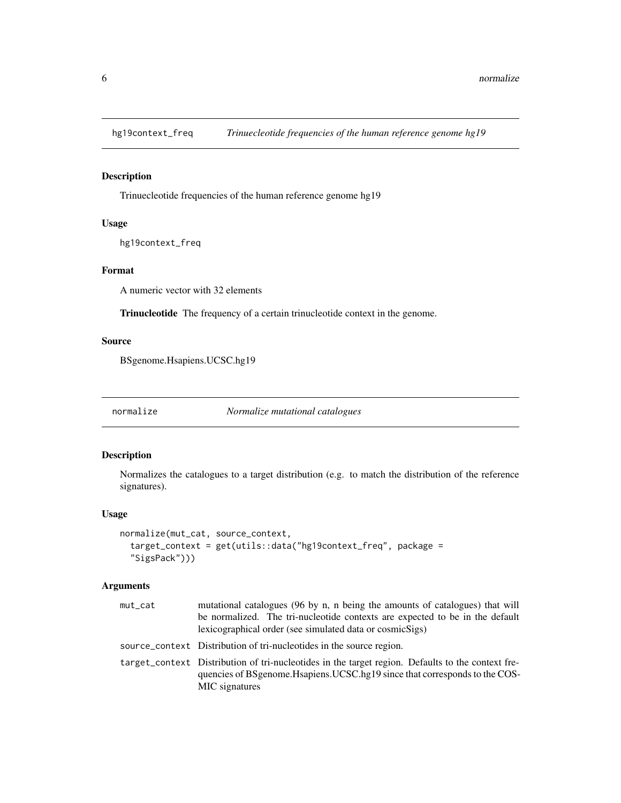<span id="page-5-0"></span>

# Description

Trinuecleotide frequencies of the human reference genome hg19

# Usage

hg19context\_freq

# Format

A numeric vector with 32 elements

Trinucleotide The frequency of a certain trinucleotide context in the genome.

# Source

BSgenome.Hsapiens.UCSC.hg19

normalize *Normalize mutational catalogues*

# Description

Normalizes the catalogues to a target distribution (e.g. to match the distribution of the reference signatures).

# Usage

```
normalize(mut_cat, source_context,
  target_context = get(utils::data("hg19context_freq", package =
  "SigsPack")))
```
# Arguments

| mut_cat | mutational catalogues (96 by n, n being the amounts of catalogues) that will<br>be normalized. The tri-nucleotide contexts are expected to be in the default                                        |
|---------|-----------------------------------------------------------------------------------------------------------------------------------------------------------------------------------------------------|
|         | lexicographical order (see simulated data or cosmicSigs)                                                                                                                                            |
|         | source context Distribution of tri-nucleotides in the source region.                                                                                                                                |
|         | target_context Distribution of tri-nucleotides in the target region. Defaults to the context fre-<br>quencies of BSgenome. Hsapiens. UCSC.hg19 since that corresponds to the COS-<br>MIC signatures |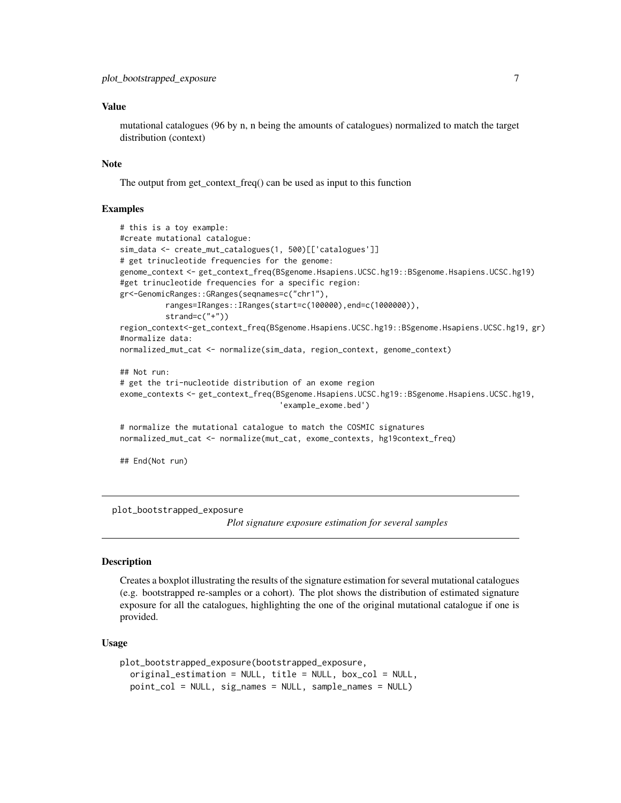#### <span id="page-6-0"></span>Value

mutational catalogues (96 by n, n being the amounts of catalogues) normalized to match the target distribution (context)

#### **Note**

The output from get\_context\_freq() can be used as input to this function

#### Examples

```
# this is a toy example:
#create mutational catalogue:
sim_data <- create_mut_catalogues(1, 500)[['catalogues']]
# get trinucleotide frequencies for the genome:
genome_context <- get_context_freq(BSgenome.Hsapiens.UCSC.hg19::BSgenome.Hsapiens.UCSC.hg19)
#get trinucleotide frequencies for a specific region:
gr<-GenomicRanges::GRanges(seqnames=c("chr1"),
          ranges=IRanges::IRanges(start=c(100000),end=c(1000000)),
          strand=c("+"))
region_context<-get_context_freq(BSgenome.Hsapiens.UCSC.hg19::BSgenome.Hsapiens.UCSC.hg19, gr)
#normalize data:
normalized_mut_cat <- normalize(sim_data, region_context, genome_context)
## Not run:
# get the tri-nucleotide distribution of an exome region
exome_contexts <- get_context_freq(BSgenome.Hsapiens.UCSC.hg19::BSgenome.Hsapiens.UCSC.hg19,
                                   'example_exome.bed')
# normalize the mutational catalogue to match the COSMIC signatures
normalized_mut_cat <- normalize(mut_cat, exome_contexts, hg19context_freq)
## End(Not run)
```
plot\_bootstrapped\_exposure

*Plot signature exposure estimation for several samples*

#### **Description**

Creates a boxplot illustrating the results of the signature estimation for several mutational catalogues (e.g. bootstrapped re-samples or a cohort). The plot shows the distribution of estimated signature exposure for all the catalogues, highlighting the one of the original mutational catalogue if one is provided.

#### Usage

```
plot_bootstrapped_exposure(bootstrapped_exposure,
  original_estimation = NULL, title = NULL, box_col = NULL,
 point_col = NULL, sig_names = NULL, sample_names = NULL)
```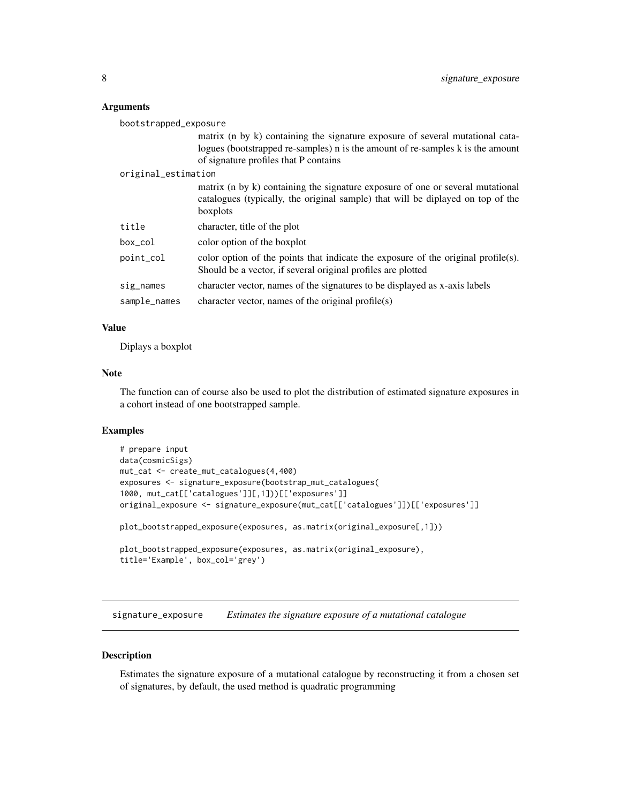#### <span id="page-7-0"></span>Arguments

| bootstrapped_exposure |                                                                                                                                                                               |  |
|-----------------------|-------------------------------------------------------------------------------------------------------------------------------------------------------------------------------|--|
|                       | matrix (n by k) containing the signature exposure of several mutational cata-                                                                                                 |  |
|                       | logues (bootstrapped re-samples) n is the amount of re-samples k is the amount                                                                                                |  |
|                       | of signature profiles that P contains                                                                                                                                         |  |
| original_estimation   |                                                                                                                                                                               |  |
|                       | matrix (n by k) containing the signature exposure of one or several mutational<br>catalogues (typically, the original sample) that will be diplayed on top of the<br>boxplots |  |
| title                 | character, title of the plot                                                                                                                                                  |  |
| $box_{col}$           | color option of the boxplot                                                                                                                                                   |  |
| point_col             | color option of the points that indicate the exposure of the original profile(s).<br>Should be a vector, if several original profiles are plotted                             |  |
| sig_names             | character vector, names of the signatures to be displayed as x-axis labels                                                                                                    |  |
| sample_names          | character vector, names of the original profile $(s)$                                                                                                                         |  |

#### Value

Diplays a boxplot

#### Note

The function can of course also be used to plot the distribution of estimated signature exposures in a cohort instead of one bootstrapped sample.

#### Examples

```
# prepare input
data(cosmicSigs)
mut_cat <- create_mut_catalogues(4,400)
exposures <- signature_exposure(bootstrap_mut_catalogues(
1000, mut_cat[['catalogues']][,1]))[['exposures']]
original_exposure <- signature_exposure(mut_cat[['catalogues']])[['exposures']]
plot_bootstrapped_exposure(exposures, as.matrix(original_exposure[,1]))
plot_bootstrapped_exposure(exposures, as.matrix(original_exposure),
title='Example', box_col='grey')
```
signature\_exposure *Estimates the signature exposure of a mutational catalogue*

#### Description

Estimates the signature exposure of a mutational catalogue by reconstructing it from a chosen set of signatures, by default, the used method is quadratic programming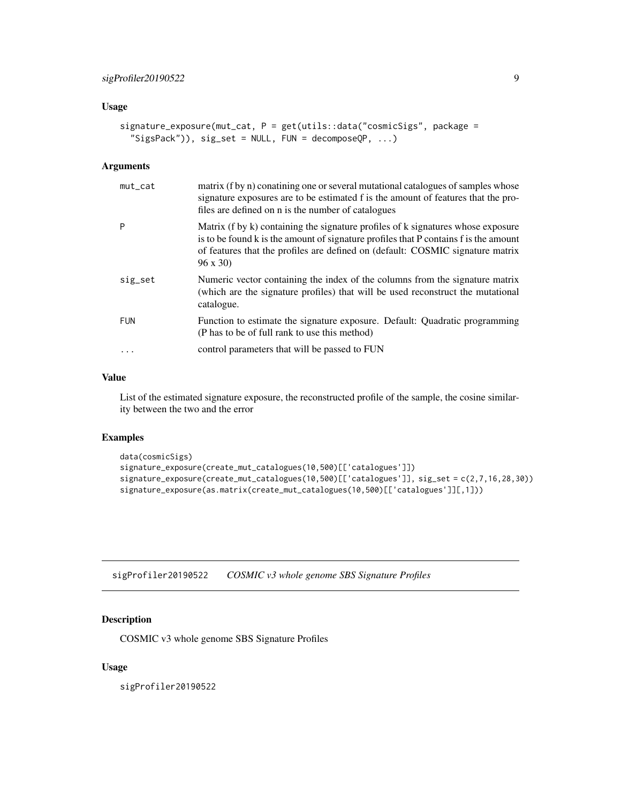# <span id="page-8-0"></span>Usage

```
signature_exposure(mut_cat, P = get(utils::data("cosmicSigs", package =
  "SigsPack")), sig_set = NULL, FUN = decomposeQP, ...)
```
### Arguments

| $mut_cat$  | matrix (f by n) conatining one or several mutational catalogues of samples whose<br>signature exposures are to be estimated f is the amount of features that the pro-<br>files are defined on n is the number of catalogues                                                  |
|------------|------------------------------------------------------------------------------------------------------------------------------------------------------------------------------------------------------------------------------------------------------------------------------|
| P          | Matrix (f by k) containing the signature profiles of k signatures whose exposure<br>is to be found k is the amount of signature profiles that P contains f is the amount<br>of features that the profiles are defined on (default: COSMIC signature matrix<br>$96 \times 30$ |
| sig_set    | Numeric vector containing the index of the columns from the signature matrix<br>(which are the signature profiles) that will be used reconstruct the mutational<br>catalogue.                                                                                                |
| <b>FUN</b> | Function to estimate the signature exposure. Default: Quadratic programming<br>(P has to be of full rank to use this method)                                                                                                                                                 |
|            | control parameters that will be passed to FUN                                                                                                                                                                                                                                |

#### Value

List of the estimated signature exposure, the reconstructed profile of the sample, the cosine similarity between the two and the error

#### Examples

```
data(cosmicSigs)
signature_exposure(create_mut_catalogues(10,500)[['catalogues']])
signature_exposure(create_mut_catalogues(10,500)[['catalogues']], sig_set = c(2,7,16,28,30))
signature_exposure(as.matrix(create_mut_catalogues(10,500)[['catalogues']][,1]))
```
sigProfiler20190522 *COSMIC v3 whole genome SBS Signature Profiles*

# Description

COSMIC v3 whole genome SBS Signature Profiles

# Usage

sigProfiler20190522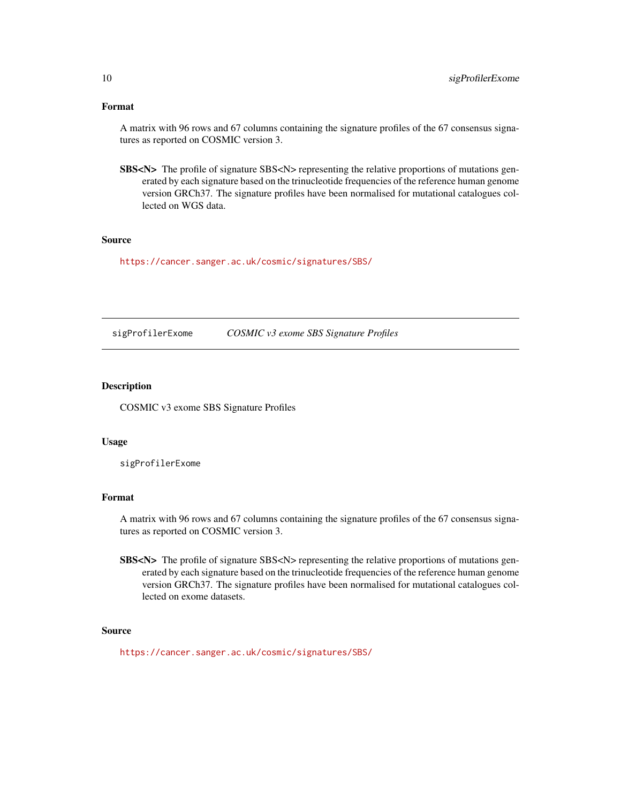# Format

A matrix with 96 rows and 67 columns containing the signature profiles of the 67 consensus signatures as reported on COSMIC version 3.

SBS<N> The profile of signature SBS<N> representing the relative proportions of mutations generated by each signature based on the trinucleotide frequencies of the reference human genome version GRCh37. The signature profiles have been normalised for mutational catalogues collected on WGS data.

#### Source

<https://cancer.sanger.ac.uk/cosmic/signatures/SBS/>

sigProfilerExome *COSMIC v3 exome SBS Signature Profiles*

# Description

COSMIC v3 exome SBS Signature Profiles

#### Usage

sigProfilerExome

# Format

A matrix with 96 rows and 67 columns containing the signature profiles of the 67 consensus signatures as reported on COSMIC version 3.

SBS<N> The profile of signature SBS<N> representing the relative proportions of mutations generated by each signature based on the trinucleotide frequencies of the reference human genome version GRCh37. The signature profiles have been normalised for mutational catalogues collected on exome datasets.

#### Source

<https://cancer.sanger.ac.uk/cosmic/signatures/SBS/>

<span id="page-9-0"></span>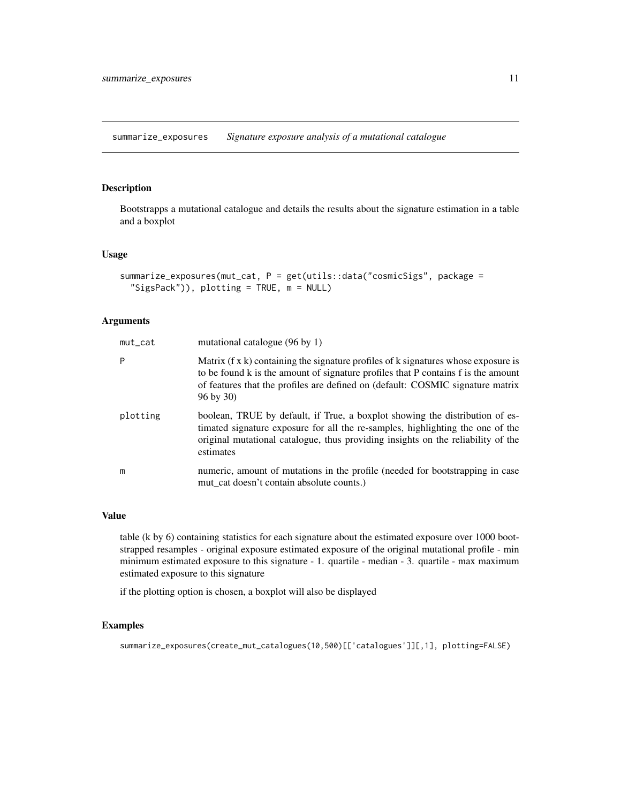<span id="page-10-0"></span>summarize\_exposures *Signature exposure analysis of a mutational catalogue*

#### Description

Bootstrapps a mutational catalogue and details the results about the signature estimation in a table and a boxplot

#### Usage

```
summarize_exposures(mut_cat, P = get(utils::data("cosmicSigs", package =
  "SigsPack")), plotting = TRUE, m = NULL)
```
#### Arguments

| mut_cat  | mutational catalogue (96 by 1)                                                                                                                                                                                                                                                          |
|----------|-----------------------------------------------------------------------------------------------------------------------------------------------------------------------------------------------------------------------------------------------------------------------------------------|
| P        | Matrix $(f \times k)$ containing the signature profiles of k signatures whose exposure is<br>to be found k is the amount of signature profiles that P contains f is the amount<br>of features that the profiles are defined on (default: COSMIC signature matrix<br>$96 \text{ by } 30$ |
| plotting | boolean, TRUE by default, if True, a boxplot showing the distribution of es-<br>timated signature exposure for all the re-samples, highlighting the one of the<br>original mutational catalogue, thus providing insights on the reliability of the<br>estimates                         |
| m        | numeric, amount of mutations in the profile (needed for bootstrapping in case<br>mut_cat doesn't contain absolute counts.)                                                                                                                                                              |

#### Value

table (k by 6) containing statistics for each signature about the estimated exposure over 1000 bootstrapped resamples - original exposure estimated exposure of the original mutational profile - min minimum estimated exposure to this signature - 1. quartile - median - 3. quartile - max maximum estimated exposure to this signature

if the plotting option is chosen, a boxplot will also be displayed

# Examples

```
summarize_exposures(create_mut_catalogues(10,500)[['catalogues']][,1], plotting=FALSE)
```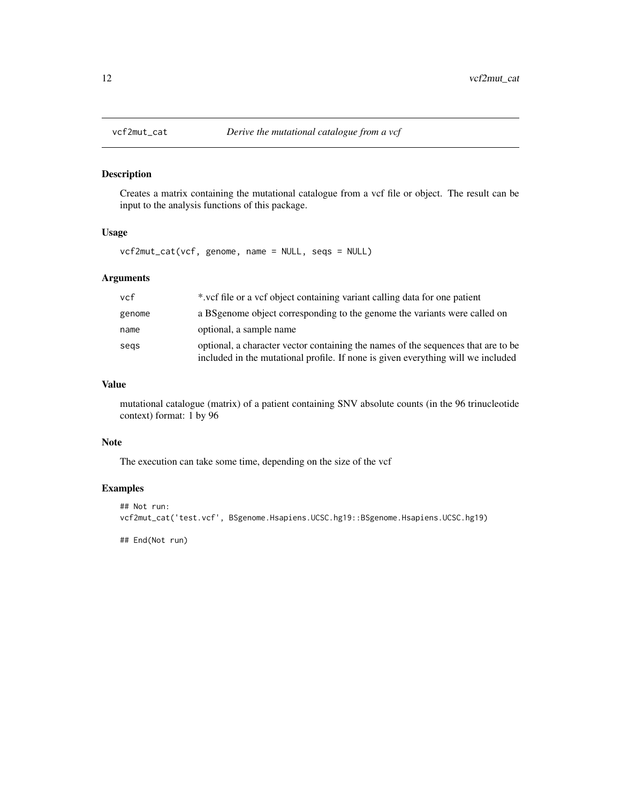<span id="page-11-0"></span>

# Description

Creates a matrix containing the mutational catalogue from a vcf file or object. The result can be input to the analysis functions of this package.

#### Usage

vcf2mut\_cat(vcf, genome, name = NULL, seqs = NULL)

# Arguments

| vcf    | *.vef file or a vef object containing variant calling data for one patient                                                                                            |
|--------|-----------------------------------------------------------------------------------------------------------------------------------------------------------------------|
| genome | a BS genome object corresponding to the genome the variants were called on                                                                                            |
| name   | optional, a sample name                                                                                                                                               |
| segs   | optional, a character vector containing the names of the sequences that are to be<br>included in the mutational profile. If none is given everything will we included |

# Value

mutational catalogue (matrix) of a patient containing SNV absolute counts (in the 96 trinucleotide context) format: 1 by 96

#### Note

The execution can take some time, depending on the size of the vcf

# Examples

```
## Not run:
vcf2mut_cat('test.vcf', BSgenome.Hsapiens.UCSC.hg19::BSgenome.Hsapiens.UCSC.hg19)
```
## End(Not run)